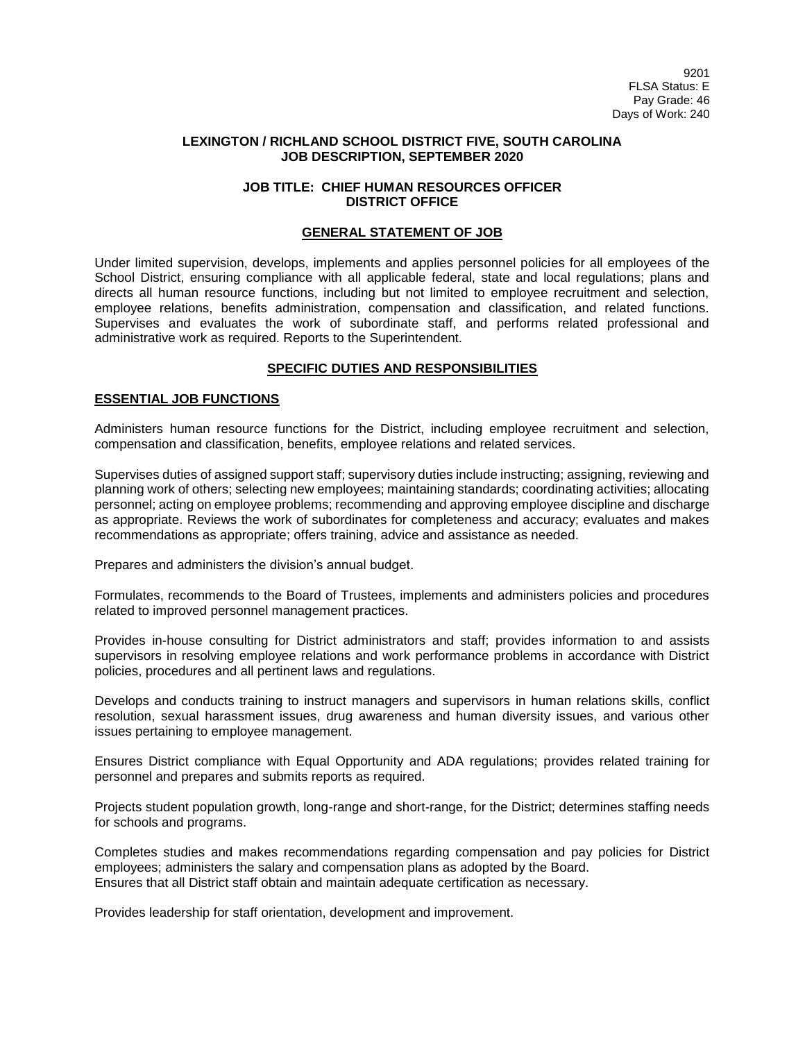## **LEXINGTON / RICHLAND SCHOOL DISTRICT FIVE, SOUTH CAROLINA JOB DESCRIPTION, SEPTEMBER 2020**

## **JOB TITLE: CHIEF HUMAN RESOURCES OFFICER DISTRICT OFFICE**

### **GENERAL STATEMENT OF JOB**

Under limited supervision, develops, implements and applies personnel policies for all employees of the School District, ensuring compliance with all applicable federal, state and local regulations; plans and directs all human resource functions, including but not limited to employee recruitment and selection, employee relations, benefits administration, compensation and classification, and related functions. Supervises and evaluates the work of subordinate staff, and performs related professional and administrative work as required. Reports to the Superintendent.

## **SPECIFIC DUTIES AND RESPONSIBILITIES**

## **ESSENTIAL JOB FUNCTIONS**

Administers human resource functions for the District, including employee recruitment and selection, compensation and classification, benefits, employee relations and related services.

Supervises duties of assigned support staff; supervisory duties include instructing; assigning, reviewing and planning work of others; selecting new employees; maintaining standards; coordinating activities; allocating personnel; acting on employee problems; recommending and approving employee discipline and discharge as appropriate. Reviews the work of subordinates for completeness and accuracy; evaluates and makes recommendations as appropriate; offers training, advice and assistance as needed.

Prepares and administers the division's annual budget.

Formulates, recommends to the Board of Trustees, implements and administers policies and procedures related to improved personnel management practices.

Provides in-house consulting for District administrators and staff; provides information to and assists supervisors in resolving employee relations and work performance problems in accordance with District policies, procedures and all pertinent laws and regulations.

Develops and conducts training to instruct managers and supervisors in human relations skills, conflict resolution, sexual harassment issues, drug awareness and human diversity issues, and various other issues pertaining to employee management.

Ensures District compliance with Equal Opportunity and ADA regulations; provides related training for personnel and prepares and submits reports as required.

Projects student population growth, long-range and short-range, for the District; determines staffing needs for schools and programs.

Completes studies and makes recommendations regarding compensation and pay policies for District employees; administers the salary and compensation plans as adopted by the Board. Ensures that all District staff obtain and maintain adequate certification as necessary.

Provides leadership for staff orientation, development and improvement.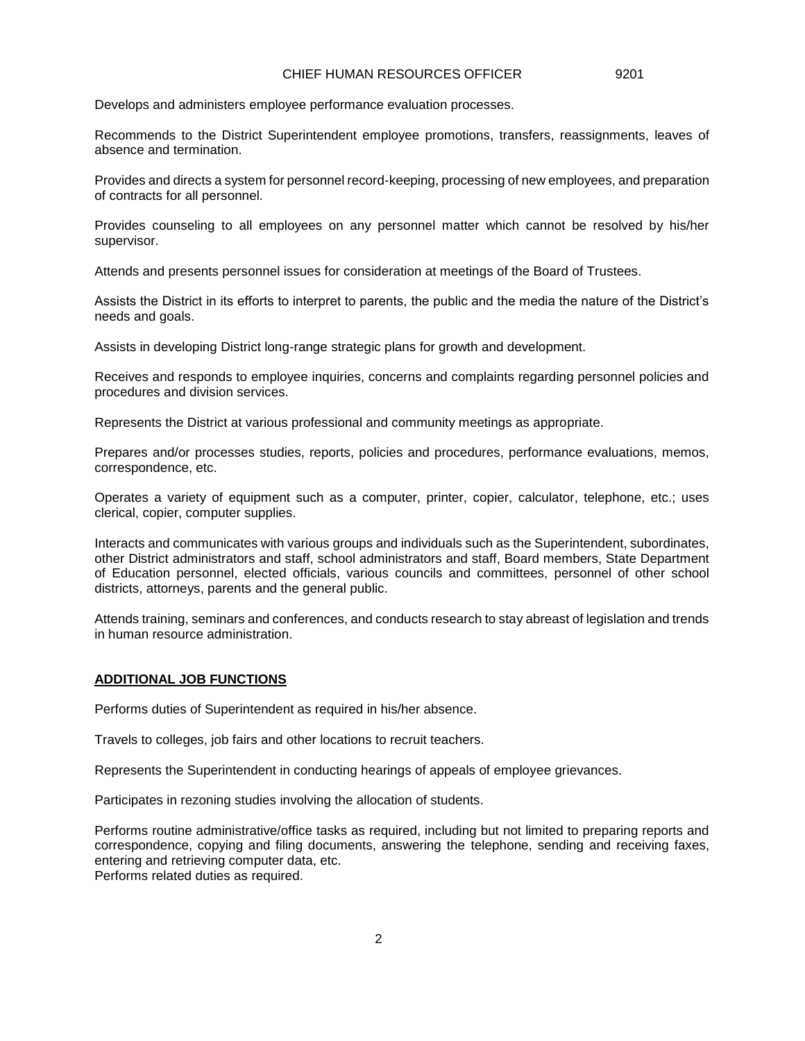# CHIEF HUMAN RESOURCES OFFICER 9201

Develops and administers employee performance evaluation processes.

Recommends to the District Superintendent employee promotions, transfers, reassignments, leaves of absence and termination.

Provides and directs a system for personnel record-keeping, processing of new employees, and preparation of contracts for all personnel.

Provides counseling to all employees on any personnel matter which cannot be resolved by his/her supervisor.

Attends and presents personnel issues for consideration at meetings of the Board of Trustees.

Assists the District in its efforts to interpret to parents, the public and the media the nature of the District's needs and goals.

Assists in developing District long-range strategic plans for growth and development.

Receives and responds to employee inquiries, concerns and complaints regarding personnel policies and procedures and division services.

Represents the District at various professional and community meetings as appropriate.

Prepares and/or processes studies, reports, policies and procedures, performance evaluations, memos, correspondence, etc.

Operates a variety of equipment such as a computer, printer, copier, calculator, telephone, etc.; uses clerical, copier, computer supplies.

Interacts and communicates with various groups and individuals such as the Superintendent, subordinates, other District administrators and staff, school administrators and staff, Board members, State Department of Education personnel, elected officials, various councils and committees, personnel of other school districts, attorneys, parents and the general public.

Attends training, seminars and conferences, and conducts research to stay abreast of legislation and trends in human resource administration.

### **ADDITIONAL JOB FUNCTIONS**

Performs duties of Superintendent as required in his/her absence.

Travels to colleges, job fairs and other locations to recruit teachers.

Represents the Superintendent in conducting hearings of appeals of employee grievances.

Participates in rezoning studies involving the allocation of students.

Performs routine administrative/office tasks as required, including but not limited to preparing reports and correspondence, copying and filing documents, answering the telephone, sending and receiving faxes, entering and retrieving computer data, etc.

Performs related duties as required.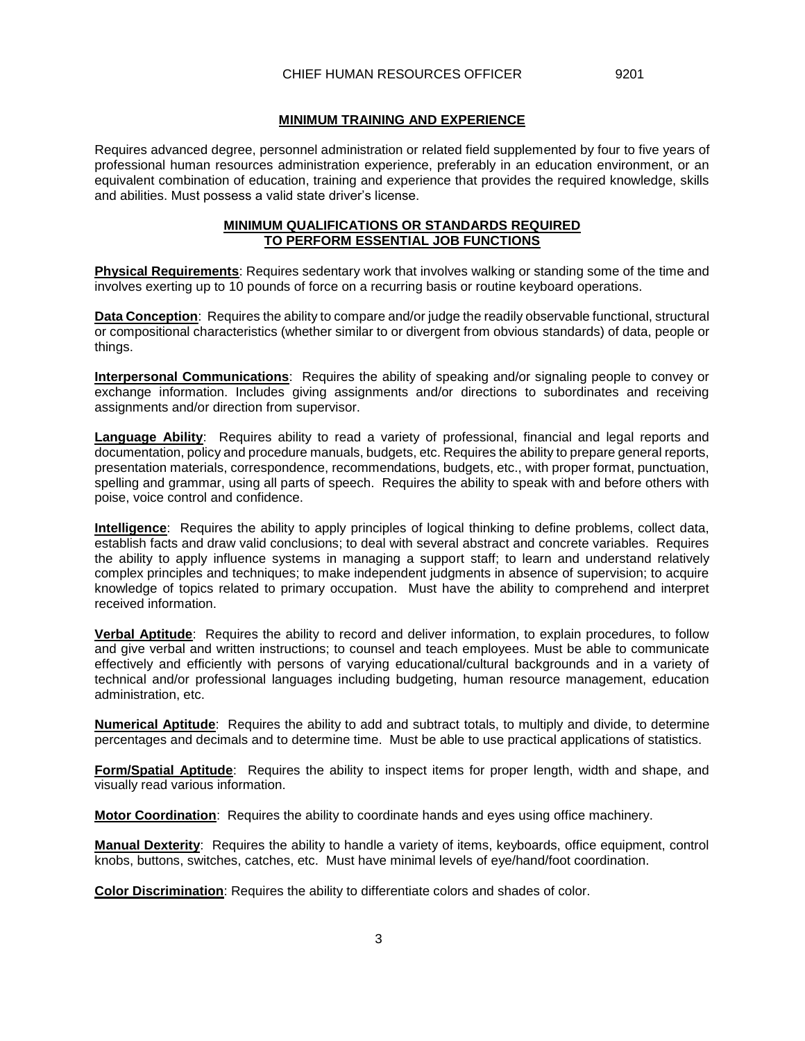#### **MINIMUM TRAINING AND EXPERIENCE**

Requires advanced degree, personnel administration or related field supplemented by four to five years of professional human resources administration experience, preferably in an education environment, or an equivalent combination of education, training and experience that provides the required knowledge, skills and abilities. Must possess a valid state driver's license.

## **MINIMUM QUALIFICATIONS OR STANDARDS REQUIRED TO PERFORM ESSENTIAL JOB FUNCTIONS**

**Physical Requirements**: Requires sedentary work that involves walking or standing some of the time and involves exerting up to 10 pounds of force on a recurring basis or routine keyboard operations.

**Data Conception**: Requires the ability to compare and/or judge the readily observable functional, structural or compositional characteristics (whether similar to or divergent from obvious standards) of data, people or things.

**Interpersonal Communications**: Requires the ability of speaking and/or signaling people to convey or exchange information. Includes giving assignments and/or directions to subordinates and receiving assignments and/or direction from supervisor.

**Language Ability**: Requires ability to read a variety of professional, financial and legal reports and documentation, policy and procedure manuals, budgets, etc. Requires the ability to prepare general reports, presentation materials, correspondence, recommendations, budgets, etc., with proper format, punctuation, spelling and grammar, using all parts of speech. Requires the ability to speak with and before others with poise, voice control and confidence.

**Intelligence**: Requires the ability to apply principles of logical thinking to define problems, collect data, establish facts and draw valid conclusions; to deal with several abstract and concrete variables. Requires the ability to apply influence systems in managing a support staff; to learn and understand relatively complex principles and techniques; to make independent judgments in absence of supervision; to acquire knowledge of topics related to primary occupation. Must have the ability to comprehend and interpret received information.

**Verbal Aptitude**: Requires the ability to record and deliver information, to explain procedures, to follow and give verbal and written instructions; to counsel and teach employees. Must be able to communicate effectively and efficiently with persons of varying educational/cultural backgrounds and in a variety of technical and/or professional languages including budgeting, human resource management, education administration, etc.

**Numerical Aptitude**: Requires the ability to add and subtract totals, to multiply and divide, to determine percentages and decimals and to determine time. Must be able to use practical applications of statistics.

**Form/Spatial Aptitude**: Requires the ability to inspect items for proper length, width and shape, and visually read various information.

**Motor Coordination**: Requires the ability to coordinate hands and eyes using office machinery.

**Manual Dexterity**: Requires the ability to handle a variety of items, keyboards, office equipment, control knobs, buttons, switches, catches, etc. Must have minimal levels of eye/hand/foot coordination.

**Color Discrimination**: Requires the ability to differentiate colors and shades of color.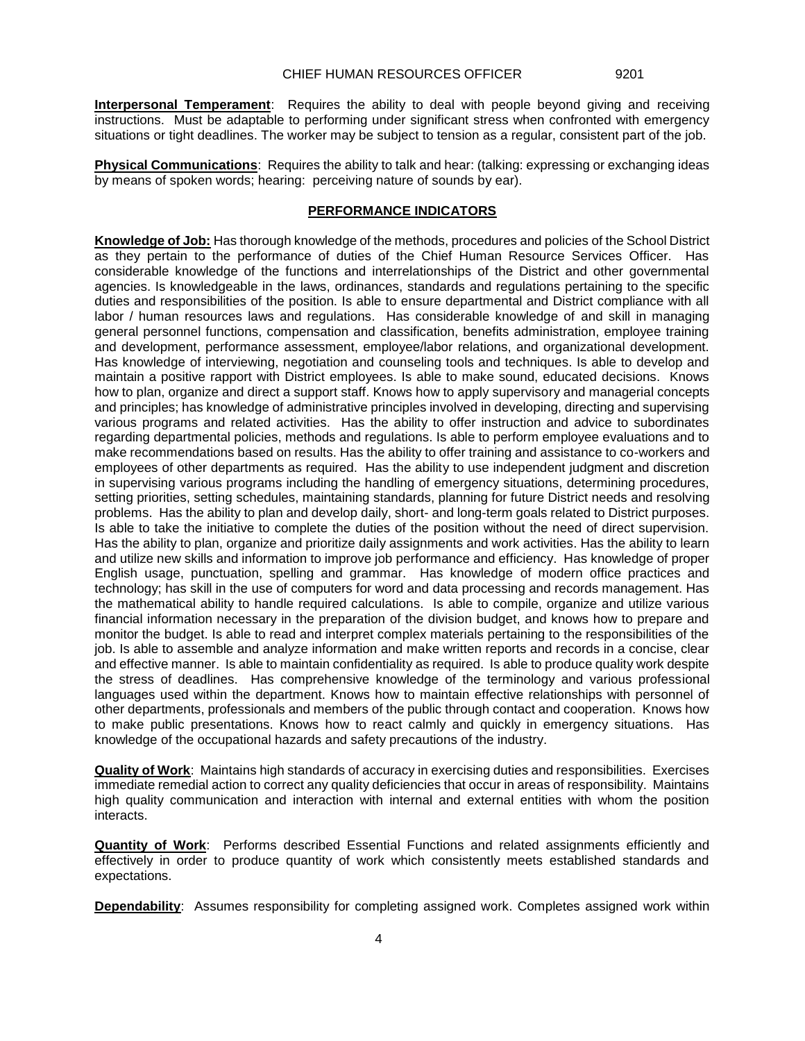**Interpersonal Temperament**: Requires the ability to deal with people beyond giving and receiving instructions. Must be adaptable to performing under significant stress when confronted with emergency situations or tight deadlines. The worker may be subject to tension as a regular, consistent part of the job.

**Physical Communications**: Requires the ability to talk and hear: (talking: expressing or exchanging ideas by means of spoken words; hearing: perceiving nature of sounds by ear).

# **PERFORMANCE INDICATORS**

**Knowledge of Job:** Has thorough knowledge of the methods, procedures and policies of the School District as they pertain to the performance of duties of the Chief Human Resource Services Officer. Has considerable knowledge of the functions and interrelationships of the District and other governmental agencies. Is knowledgeable in the laws, ordinances, standards and regulations pertaining to the specific duties and responsibilities of the position. Is able to ensure departmental and District compliance with all labor / human resources laws and regulations. Has considerable knowledge of and skill in managing general personnel functions, compensation and classification, benefits administration, employee training and development, performance assessment, employee/labor relations, and organizational development. Has knowledge of interviewing, negotiation and counseling tools and techniques. Is able to develop and maintain a positive rapport with District employees. Is able to make sound, educated decisions. Knows how to plan, organize and direct a support staff. Knows how to apply supervisory and managerial concepts and principles; has knowledge of administrative principles involved in developing, directing and supervising various programs and related activities. Has the ability to offer instruction and advice to subordinates regarding departmental policies, methods and regulations. Is able to perform employee evaluations and to make recommendations based on results. Has the ability to offer training and assistance to co-workers and employees of other departments as required. Has the ability to use independent judgment and discretion in supervising various programs including the handling of emergency situations, determining procedures, setting priorities, setting schedules, maintaining standards, planning for future District needs and resolving problems. Has the ability to plan and develop daily, short- and long-term goals related to District purposes. Is able to take the initiative to complete the duties of the position without the need of direct supervision. Has the ability to plan, organize and prioritize daily assignments and work activities. Has the ability to learn and utilize new skills and information to improve job performance and efficiency. Has knowledge of proper English usage, punctuation, spelling and grammar. Has knowledge of modern office practices and technology; has skill in the use of computers for word and data processing and records management. Has the mathematical ability to handle required calculations. Is able to compile, organize and utilize various financial information necessary in the preparation of the division budget, and knows how to prepare and monitor the budget. Is able to read and interpret complex materials pertaining to the responsibilities of the job. Is able to assemble and analyze information and make written reports and records in a concise, clear and effective manner. Is able to maintain confidentiality as required. Is able to produce quality work despite the stress of deadlines. Has comprehensive knowledge of the terminology and various professional languages used within the department. Knows how to maintain effective relationships with personnel of other departments, professionals and members of the public through contact and cooperation. Knows how to make public presentations. Knows how to react calmly and quickly in emergency situations. Has knowledge of the occupational hazards and safety precautions of the industry.

**Quality of Work**: Maintains high standards of accuracy in exercising duties and responsibilities. Exercises immediate remedial action to correct any quality deficiencies that occur in areas of responsibility. Maintains high quality communication and interaction with internal and external entities with whom the position interacts.

**Quantity of Work**: Performs described Essential Functions and related assignments efficiently and effectively in order to produce quantity of work which consistently meets established standards and expectations.

**Dependability**: Assumes responsibility for completing assigned work. Completes assigned work within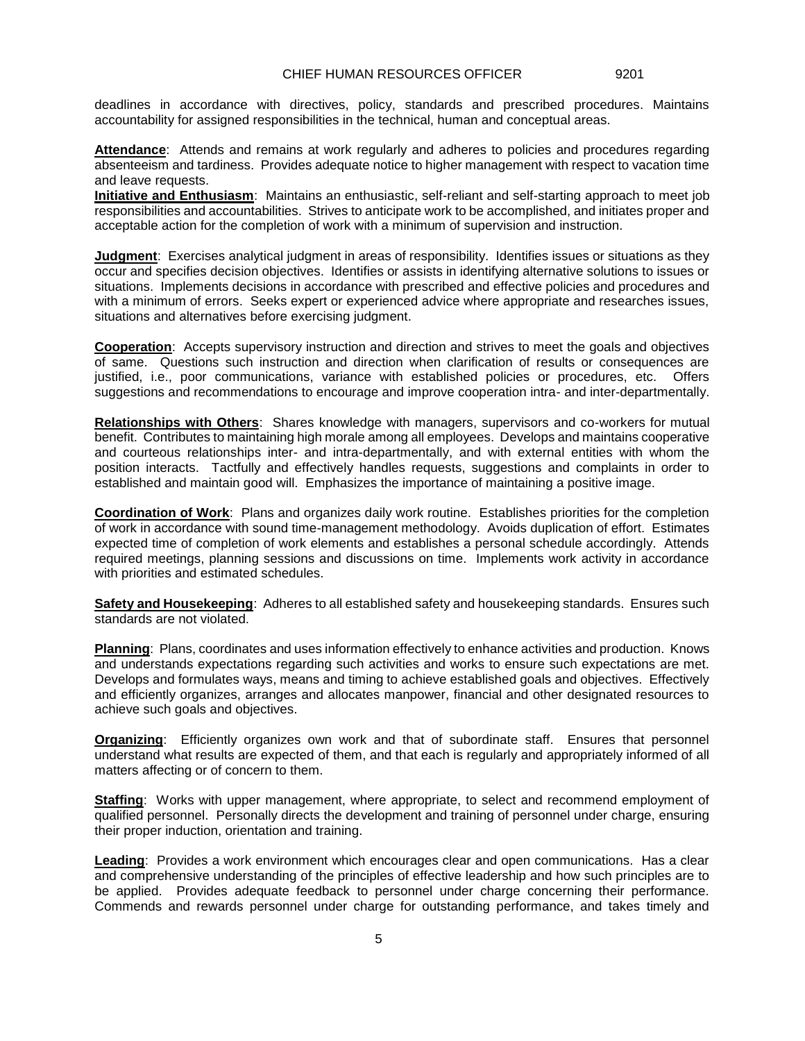deadlines in accordance with directives, policy, standards and prescribed procedures. Maintains accountability for assigned responsibilities in the technical, human and conceptual areas.

**Attendance**: Attends and remains at work regularly and adheres to policies and procedures regarding absenteeism and tardiness. Provides adequate notice to higher management with respect to vacation time and leave requests.

**Initiative and Enthusiasm**: Maintains an enthusiastic, self-reliant and self-starting approach to meet job responsibilities and accountabilities. Strives to anticipate work to be accomplished, and initiates proper and acceptable action for the completion of work with a minimum of supervision and instruction.

**Judgment**: Exercises analytical judgment in areas of responsibility. Identifies issues or situations as they occur and specifies decision objectives. Identifies or assists in identifying alternative solutions to issues or situations. Implements decisions in accordance with prescribed and effective policies and procedures and with a minimum of errors. Seeks expert or experienced advice where appropriate and researches issues, situations and alternatives before exercising judgment.

**Cooperation**: Accepts supervisory instruction and direction and strives to meet the goals and objectives of same. Questions such instruction and direction when clarification of results or consequences are justified, i.e., poor communications, variance with established policies or procedures, etc. Offers suggestions and recommendations to encourage and improve cooperation intra- and inter-departmentally.

**Relationships with Others**: Shares knowledge with managers, supervisors and co-workers for mutual benefit. Contributes to maintaining high morale among all employees. Develops and maintains cooperative and courteous relationships inter- and intra-departmentally, and with external entities with whom the position interacts. Tactfully and effectively handles requests, suggestions and complaints in order to established and maintain good will. Emphasizes the importance of maintaining a positive image.

**Coordination of Work**: Plans and organizes daily work routine. Establishes priorities for the completion of work in accordance with sound time-management methodology. Avoids duplication of effort. Estimates expected time of completion of work elements and establishes a personal schedule accordingly. Attends required meetings, planning sessions and discussions on time. Implements work activity in accordance with priorities and estimated schedules.

**Safety and Housekeeping**: Adheres to all established safety and housekeeping standards. Ensures such standards are not violated.

**Planning**: Plans, coordinates and uses information effectively to enhance activities and production. Knows and understands expectations regarding such activities and works to ensure such expectations are met. Develops and formulates ways, means and timing to achieve established goals and objectives. Effectively and efficiently organizes, arranges and allocates manpower, financial and other designated resources to achieve such goals and objectives.

**Organizing**: Efficiently organizes own work and that of subordinate staff. Ensures that personnel understand what results are expected of them, and that each is regularly and appropriately informed of all matters affecting or of concern to them.

**Staffing**: Works with upper management, where appropriate, to select and recommend employment of qualified personnel. Personally directs the development and training of personnel under charge, ensuring their proper induction, orientation and training.

**Leading**: Provides a work environment which encourages clear and open communications. Has a clear and comprehensive understanding of the principles of effective leadership and how such principles are to be applied. Provides adequate feedback to personnel under charge concerning their performance. Commends and rewards personnel under charge for outstanding performance, and takes timely and